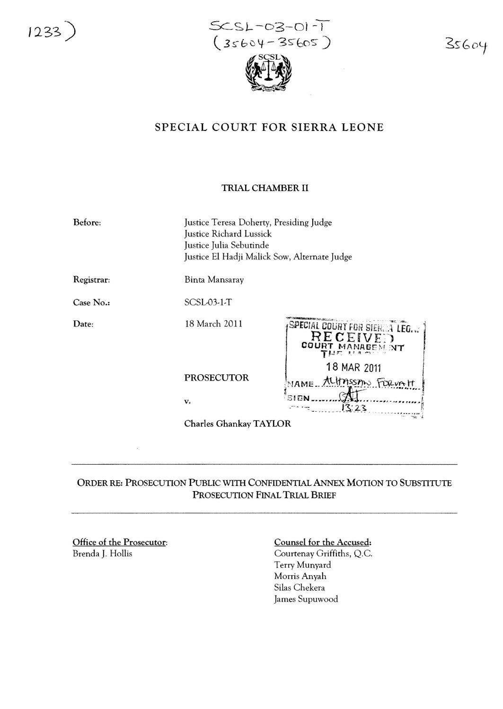1233 )

 $SCSL-03-01-1$  $(35604 - 35605)$ 

35604

## SPECIAL COURT FOR SIERRA LEONE

## TRIAL CHAMBER II

| Before:                | Justice Teresa Doherty, Presiding Judge<br>Justice Richard Lussick<br>Justice Julia Sebutinde<br>Justice El Hadji Malick Sow, Alternate Judge |                                                               |
|------------------------|-----------------------------------------------------------------------------------------------------------------------------------------------|---------------------------------------------------------------|
| Registrar:             | Binta Mansaray                                                                                                                                |                                                               |
| Case No.:              | $SCSL03-1-T$                                                                                                                                  |                                                               |
| Date:                  | 18 March 2011                                                                                                                                 | SPECIAL COURT FOR SIERER LEG<br>RECEIVED<br>COURT MANAGEM. NT |
|                        | <b>PROSECUTOR</b>                                                                                                                             | 18 MAR 2011<br>NAME ALITASSIN FORWALT                         |
|                        | v.                                                                                                                                            | SIGN<br>13:23                                                 |
| Charles Ghankay TAYLOR |                                                                                                                                               |                                                               |
|                        |                                                                                                                                               |                                                               |

## ORDER RE: PROSECUTION PuBLIC WITH CONFIDENTIAL ANNEx MOTION TO SUBSTITUTE PROSECUTION FINAL TRIAL BRIEF

Office of the Prosecutor: Brenda J. Hollis

Counsel for the Accused: Courtenay Griffiths, Q.c. Terry Munyard Morris Anyah Silas Chekera James Supuwood